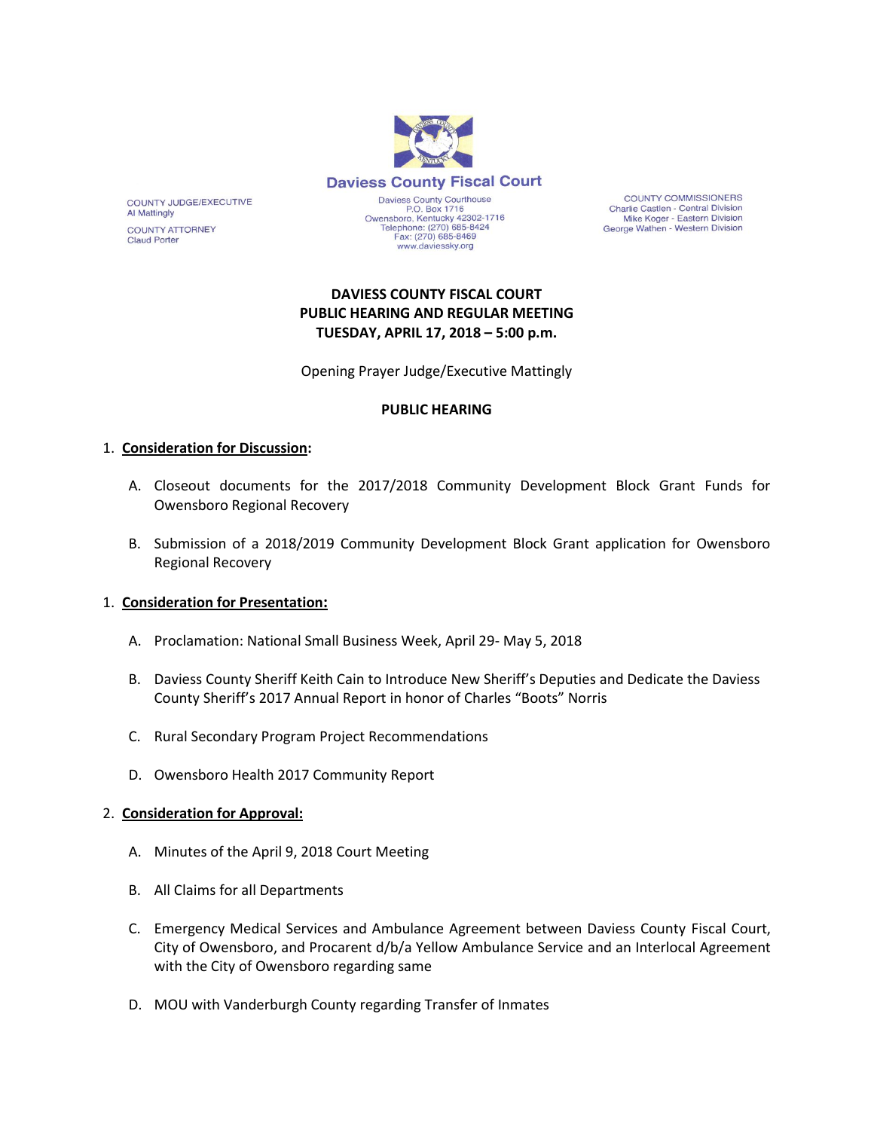

**COUNTY COMMISSIONERS** Charlie Castlen - Central Division Mike Koger - Eastern Division<br>George Wathen - Western Division

# **DAVIESS COUNTY FISCAL COURT PUBLIC HEARING AND REGULAR MEETING TUESDAY, APRIL 17, 2018 – 5:00 p.m.**

www.daviessky.org

Opening Prayer Judge/Executive Mattingly

### **PUBLIC HEARING**

#### 1. **Consideration for Discussion:**

COUNTY JUDGE/EXECUTIVE

**COUNTY ATTORNEY** 

**Al Mattingly** 

**Claud Porter** 

- A. Closeout documents for the 2017/2018 Community Development Block Grant Funds for Owensboro Regional Recovery
- B. Submission of a 2018/2019 Community Development Block Grant application for Owensboro Regional Recovery

#### 1. **Consideration for Presentation:**

- A. Proclamation: National Small Business Week, April 29- May 5, 2018
- B. Daviess County Sheriff Keith Cain to Introduce New Sheriff's Deputies and Dedicate the Daviess County Sheriff's 2017 Annual Report in honor of Charles "Boots" Norris
- C. Rural Secondary Program Project Recommendations
- D. Owensboro Health 2017 Community Report

#### 2. **Consideration for Approval:**

- A. Minutes of the April 9, 2018 Court Meeting
- B. All Claims for all Departments
- C. Emergency Medical Services and Ambulance Agreement between Daviess County Fiscal Court, City of Owensboro, and Procarent d/b/a Yellow Ambulance Service and an Interlocal Agreement with the City of Owensboro regarding same
- D. MOU with Vanderburgh County regarding Transfer of Inmates